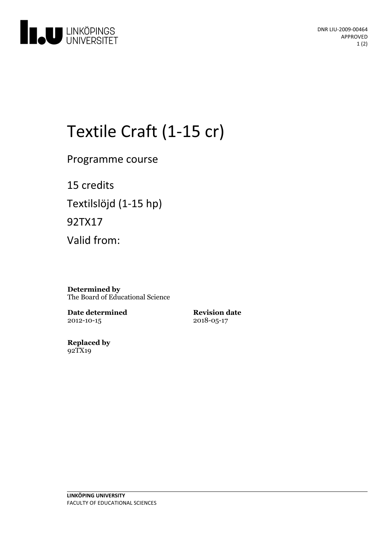

# Textile Craft (1-15 cr)

Programme course

15 credits Textilslöjd (1-15 hp) 92TX17 Valid from:

**Determined by** The Board of Educational Science

**Date determined** 2012-10-15

**Revision date** 2018-05-17

**Replaced by** 92TX19